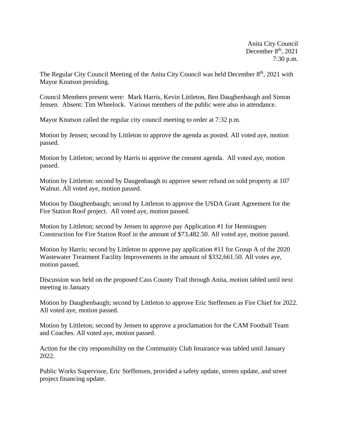Anita City Council December  $8<sup>th</sup>$ , 2021 7:30 p.m.

The Regular City Council Meeting of the Anita City Council was held December 8<sup>th</sup>, 2021 with Mayor Knutson presiding.

Council Members present were: Mark Harris, Kevin Littleton, Ben Daughenbaugh and Simon Jensen. Absent: Tim Wheelock. Various members of the public were also in attendance.

Mayor Knutson called the regular city council meeting to order at 7:32 p.m.

Motion by Jensen; second by Littleton to approve the agenda as posted. All voted aye, motion passed.

Motion by Littleton; second by Harris to approve the consent agenda. All voted aye, motion passed.

Motion by Littleton: second by Daugenbaugh to approve sewer refund on sold property at 107 Walnut. All voted aye, motion passed.

Motion by Daughenbaugh; second by Littleton to approve the USDA Grant Agreement for the Fire Station Roof project. All voted aye, motion passed.

Motion by Littleton; second by Jensen to approve pay Application #1 for Henningsen Construction for Fire Station Roof in the amount of \$73,482.50. All voted aye, motion passed.

Motion by Harris; second by Littleton to approve pay application #11 for Group A of the 2020 Wastewater Treatment Facility Improvements in the amount of \$332,661.50. All votes aye, motion passed.

Discussion was held on the proposed Cass County Trail through Anita, motion tabled until next meeting in January

Motion by Daughenbaugh; second by Littleton to approve Eric Steffensen as Fire Chief for 2022. All voted aye, motion passed.

Motion by Littleton; second by Jensen to approve a proclamation for the CAM Football Team and Coaches. All voted aye, motion passed.

Action for the city responsibility on the Community Club Insurance was tabled until January 2022.

Public Works Supervisor, Eric Steffensen, provided a safety update, streets update, and street project financing update.